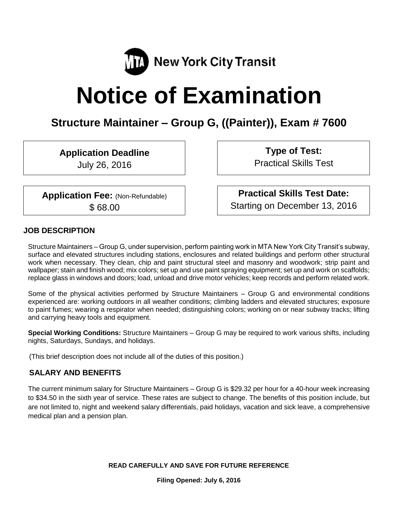

# **Notice of Examination**

# **Structure Maintainer – Group G, ((Painter)), Exam # 7600**

**Application Deadline**

July 26, 2016

**Application Fee:** (Non-Refundable) \$ 68.00

**Type of Test:**

Practical Skills Test

**Practical Skills Test Date:** Starting on December 13, 2016

#### **JOB DESCRIPTION**

Structure Maintainers – Group G, under supervision, perform painting work in MTA New York City Transit's subway, surface and elevated structures including stations, enclosures and related buildings and perform other structural work when necessary. They clean, chip and paint structural steel and masonry and woodwork; strip paint and wallpaper; stain and finish wood; mix colors; set up and use paint spraying equipment; set up and work on scaffolds; replace glass in windows and doors; load, unload and drive motor vehicles; keep records and perform related work.

Some of the physical activities performed by Structure Maintainers – Group G and environmental conditions experienced are: working outdoors in all weather conditions; climbing ladders and elevated structures; exposure to paint fumes; wearing a respirator when needed; distinguishing colors; working on or near subway tracks; lifting and carrying heavy tools and equipment.

**Special Working Conditions:** Structure Maintainers – Group G may be required to work various shifts, including nights, Saturdays, Sundays, and holidays.

(This brief description does not include all of the duties of this position.)

#### **SALARY AND BENEFITS**

The current minimum salary for Structure Maintainers – Group G is \$29.32 per hour for a 40-hour week increasing to \$34.50 in the sixth year of service. These rates are subject to change. The benefits of this position include, but are not limited to, night and weekend salary differentials, paid holidays, vacation and sick leave, a comprehensive medical plan and a pension plan.

**READ CAREFULLY AND SAVE FOR FUTURE REFERENCE**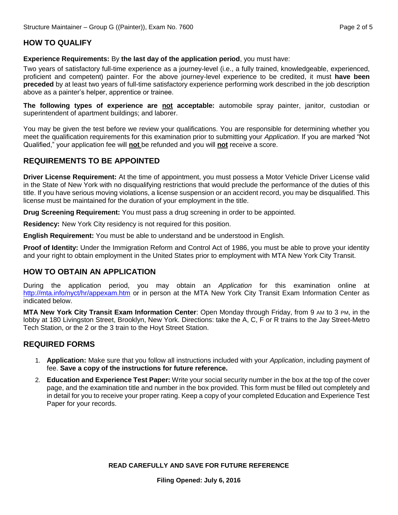# **HOW TO QUALIFY**

**Experience Requirements:** By the last day of the application period, you must have:

Two years of satisfactory full-time experience as a journey-level (i.e., a fully trained, knowledgeable, experienced, proficient and competent) painter. For the above journey-level experience to be credited, it must **have been preceded** by at least two years of full-time satisfactory experience performing work described in the job description above as a painter's helper, apprentice or trainee.

**The following types of experience are not acceptable:** automobile spray painter, janitor, custodian or superintendent of apartment buildings; and laborer.

You may be given the test before we review your qualifications. You are responsible for determining whether you meet the qualification requirements for this examination prior to submitting your *Application*. If you are marked "Not Qualified," your application fee will **not** be refunded and you will **not** receive a score.

# **REQUIREMENTS TO BE APPOINTED**

**Driver License Requirement:** At the time of appointment, you must possess a Motor Vehicle Driver License valid in the State of New York with no disqualifying restrictions that would preclude the performance of the duties of this title. If you have serious moving violations, a license suspension or an accident record, you may be disqualified. This license must be maintained for the duration of your employment in the title.

**Drug Screening Requirement:** You must pass a drug screening in order to be appointed.

**Residency:** New York City residency is not required for this position.

**English Requirement:** You must be able to understand and be understood in English.

**Proof of Identity:** Under the Immigration Reform and Control Act of 1986, you must be able to prove your identity and your right to obtain employment in the United States prior to employment with MTA New York City Transit.

# **HOW TO OBTAIN AN APPLICATION**

During the application period, you may obtain an *Application* for this examination online at <http://mta.info/nyct/hr/appexam.htm> or in person at the MTA New York City Transit Exam Information Center as indicated below.

**MTA New York City Transit Exam Information Center**: Open Monday through Friday, from 9 AM to 3 PM, in the lobby at 180 Livingston Street, Brooklyn, New York. Directions: take the A, C, F or R trains to the Jay Street-Metro Tech Station, or the 2 or the 3 train to the Hoyt Street Station.

# **REQUIRED FORMS**

- 1. **Application:** Make sure that you follow all instructions included with your *Application*, including payment of fee. **Save a copy of the instructions for future reference.**
- 2. **Education and Experience Test Paper:** Write your social security number in the box at the top of the cover page, and the examination title and number in the box provided. This form must be filled out completely and in detail for you to receive your proper rating. Keep a copy of your completed Education and Experience Test Paper for your records.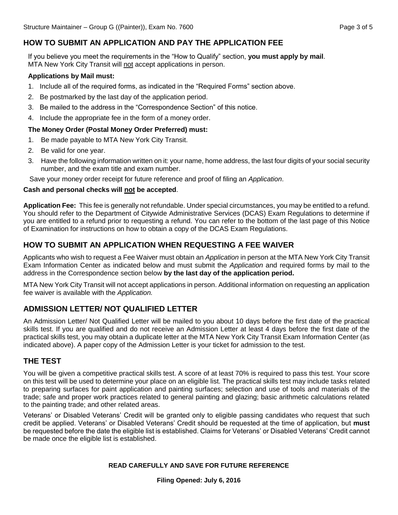# **HOW TO SUBMIT AN APPLICATION AND PAY THE APPLICATION FEE**

If you believe you meet the requirements in the "How to Qualify" section, **you must apply by mail**. MTA New York City Transit will not accept applications in person.

#### **Applications by Mail must:**

- 1. Include all of the required forms, as indicated in the "Required Forms" section above.
- 2. Be postmarked by the last day of the application period.
- 3. Be mailed to the address in the "Correspondence Section" of this notice.
- 4. Include the appropriate fee in the form of a money order.

#### **The Money Order (Postal Money Order Preferred) must:**

- 1. Be made payable to MTA New York City Transit.
- 2. Be valid for one year.
- 3. Have the following information written on it: your name, home address, the last four digits of your social security number, and the exam title and exam number.

Save your money order receipt for future reference and proof of filing an *Application*.

#### **Cash and personal checks will not be accepted**.

**Application Fee:** This fee is generally not refundable. Under special circumstances, you may be entitled to a refund. You should refer to the Department of Citywide Administrative Services (DCAS) Exam Regulations to determine if you are entitled to a refund prior to requesting a refund. You can refer to the bottom of the last page of this Notice of Examination for instructions on how to obtain a copy of the DCAS Exam Regulations.

#### **HOW TO SUBMIT AN APPLICATION WHEN REQUESTING A FEE WAIVER**

Applicants who wish to request a Fee Waiver must obtain an *Application* in person at the MTA New York City Transit Exam Information Center as indicated below and must submit the *Application* and required forms by mail to the address in the Correspondence section below **by the last day of the application period.**

MTA New York City Transit will not accept applications in person. Additional information on requesting an application fee waiver is available with the *Application.* 

# **ADMISSION LETTER/ NOT QUALIFIED LETTER**

An Admission Letter/ Not Qualified Letter will be mailed to you about 10 days before the first date of the practical skills test. If you are qualified and do not receive an Admission Letter at least 4 days before the first date of the practical skills test, you may obtain a duplicate letter at the MTA New York City Transit Exam Information Center (as indicated above). A paper copy of the Admission Letter is your ticket for admission to the test.

#### **THE TEST**

You will be given a competitive practical skills test. A score of at least 70% is required to pass this test. Your score on this test will be used to determine your place on an eligible list. The practical skills test may include tasks related to preparing surfaces for paint application and painting surfaces; selection and use of tools and materials of the trade; safe and proper work practices related to general painting and glazing; basic arithmetic calculations related to the painting trade; and other related areas.

Veterans' or Disabled Veterans' Credit will be granted only to eligible passing candidates who request that such credit be applied. Veterans' or Disabled Veterans' Credit should be requested at the time of application, but **must** be requested before the date the eligible list is established. Claims for Veterans' or Disabled Veterans' Credit cannot be made once the eligible list is established.

#### **READ CAREFULLY AND SAVE FOR FUTURE REFERENCE**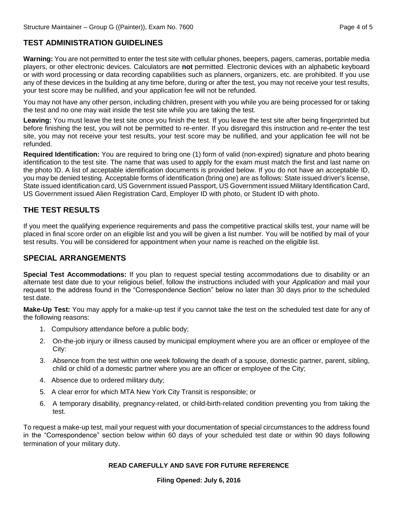# **TEST ADMINISTRATION GUIDELINES**

**Warning:** You are not permitted to enter the test site with cellular phones, beepers, pagers, cameras, portable media players, or other electronic devices. Calculators are **not** permitted. Electronic devices with an alphabetic keyboard or with word processing or data recording capabilities such as planners, organizers, etc. are prohibited. If you use any of these devices in the building at any time before, during or after the test, you may not receive your test results, your test score may be nullified, and your application fee will not be refunded.

You may not have any other person, including children, present with you while you are being processed for or taking the test and no one may wait inside the test site while you are taking the test.

**Leaving:** You must leave the test site once you finish the test. If you leave the test site after being fingerprinted but before finishing the test, you will not be permitted to re-enter. If you disregard this instruction and re-enter the test site, you may not receive your test results, your test score may be nullified, and your application fee will not be refunded.

**Required Identification:** You are required to bring one (1) form of valid (non-expired) signature and photo bearing identification to the test site. The name that was used to apply for the exam must match the first and last name on the photo ID. A list of acceptable identification documents is provided below. If you do not have an acceptable ID, you may be denied testing. Acceptable forms of identification (bring one) are as follows: State issued driver's license, State issued identification card, US Government issued Passport, US Government issued Military Identification Card, US Government issued Alien Registration Card, Employer ID with photo, or Student ID with photo.

#### **THE TEST RESULTS**

If you meet the qualifying experience requirements and pass the competitive practical skills test, your name will be placed in final score order on an eligible list and you will be given a list number. You will be notified by mail of your test results. You will be considered for appointment when your name is reached on the eligible list.

#### **SPECIAL ARRANGEMENTS**

**Special Test Accommodations:** If you plan to request special testing accommodations due to disability or an alternate test date due to your religious belief, follow the instructions included with your *Application* and mail your request to the address found in the "Correspondence Section" below no later than 30 days prior to the scheduled test date.

**Make-Up Test:** You may apply for a make-up test if you cannot take the test on the scheduled test date for any of the following reasons:

- 1. Compulsory attendance before a public body;
- 2. On-the-job injury or illness caused by municipal employment where you are an officer or employee of the City:
- 3. Absence from the test within one week following the death of a spouse, domestic partner, parent, sibling, child or child of a domestic partner where you are an officer or employee of the City;
- 4. Absence due to ordered military duty;
- 5. A clear error for which MTA New York City Transit is responsible; or
- 6. A temporary disability, pregnancy-related, or child-birth-related condition preventing you from taking the test.

To request a make-up test, mail your request with your documentation of special circumstances to the address found in the "Correspondence" section below within 60 days of your scheduled test date or within 90 days following termination of your military duty.

#### **READ CAREFULLY AND SAVE FOR FUTURE REFERENCE**